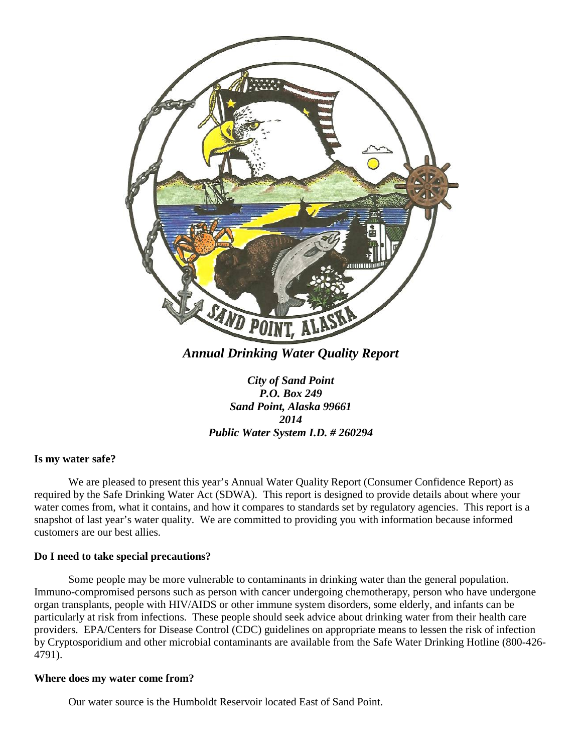

*Annual Drinking Water Quality Report*

*City of Sand Point P.O. Box 249 Sand Point, Alaska 99661 2014 Public Water System I.D. # 260294*

#### **Is my water safe?**

We are pleased to present this year's Annual Water Quality Report (Consumer Confidence Report) as required by the Safe Drinking Water Act (SDWA). This report is designed to provide details about where your water comes from, what it contains, and how it compares to standards set by regulatory agencies. This report is a snapshot of last year's water quality. We are committed to providing you with information because informed customers are our best allies.

#### **Do I need to take special precautions?**

Some people may be more vulnerable to contaminants in drinking water than the general population. Immuno-compromised persons such as person with cancer undergoing chemotherapy, person who have undergone organ transplants, people with HIV/AIDS or other immune system disorders, some elderly, and infants can be particularly at risk from infections. These people should seek advice about drinking water from their health care providers. EPA/Centers for Disease Control (CDC) guidelines on appropriate means to lessen the risk of infection by Cryptosporidium and other microbial contaminants are available from the Safe Water Drinking Hotline (800-426- 4791).

#### **Where does my water come from?**

Our water source is the Humboldt Reservoir located East of Sand Point.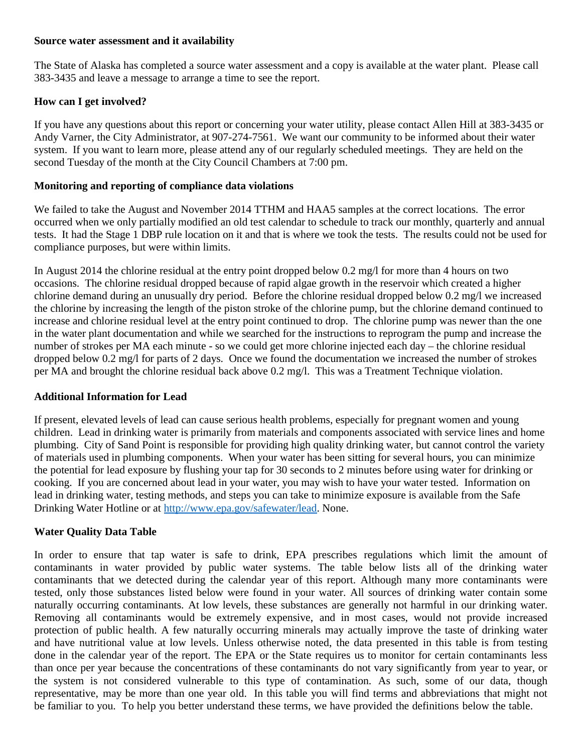#### **Source water assessment and it availability**

The State of Alaska has completed a source water assessment and a copy is available at the water plant. Please call 383-3435 and leave a message to arrange a time to see the report.

## **How can I get involved?**

If you have any questions about this report or concerning your water utility, please contact Allen Hill at 383-3435 or Andy Varner, the City Administrator, at 907-274-7561. We want our community to be informed about their water system. If you want to learn more, please attend any of our regularly scheduled meetings. They are held on the second Tuesday of the month at the City Council Chambers at 7:00 pm.

### **Monitoring and reporting of compliance data violations**

We failed to take the August and November 2014 TTHM and HAA5 samples at the correct locations. The error occurred when we only partially modified an old test calendar to schedule to track our monthly, quarterly and annual tests. It had the Stage 1 DBP rule location on it and that is where we took the tests. The results could not be used for compliance purposes, but were within limits.

In August 2014 the chlorine residual at the entry point dropped below 0.2 mg/l for more than 4 hours on two occasions. The chlorine residual dropped because of rapid algae growth in the reservoir which created a higher chlorine demand during an unusually dry period. Before the chlorine residual dropped below 0.2 mg/l we increased the chlorine by increasing the length of the piston stroke of the chlorine pump, but the chlorine demand continued to increase and chlorine residual level at the entry point continued to drop. The chlorine pump was newer than the one in the water plant documentation and while we searched for the instructions to reprogram the pump and increase the number of strokes per MA each minute - so we could get more chlorine injected each day – the chlorine residual dropped below 0.2 mg/l for parts of 2 days. Once we found the documentation we increased the number of strokes per MA and brought the chlorine residual back above 0.2 mg/l. This was a Treatment Technique violation.

### **Additional Information for Lead**

If present, elevated levels of lead can cause serious health problems, especially for pregnant women and young children. Lead in drinking water is primarily from materials and components associated with service lines and home plumbing. City of Sand Point is responsible for providing high quality drinking water, but cannot control the variety of materials used in plumbing components. When your water has been sitting for several hours, you can minimize the potential for lead exposure by flushing your tap for 30 seconds to 2 minutes before using water for drinking or cooking. If you are concerned about lead in your water, you may wish to have your water tested. Information on lead in drinking water, testing methods, and steps you can take to minimize exposure is available from the Safe Drinking Water Hotline or at [http://www.epa.gov/safewater/lead.](http://www.epa.gov/safewater/lead) None.

## **Water Quality Data Table**

In order to ensure that tap water is safe to drink, EPA prescribes regulations which limit the amount of contaminants in water provided by public water systems. The table below lists all of the drinking water contaminants that we detected during the calendar year of this report. Although many more contaminants were tested, only those substances listed below were found in your water. All sources of drinking water contain some naturally occurring contaminants. At low levels, these substances are generally not harmful in our drinking water. Removing all contaminants would be extremely expensive, and in most cases, would not provide increased protection of public health. A few naturally occurring minerals may actually improve the taste of drinking water and have nutritional value at low levels. Unless otherwise noted, the data presented in this table is from testing done in the calendar year of the report. The EPA or the State requires us to monitor for certain contaminants less than once per year because the concentrations of these contaminants do not vary significantly from year to year, or the system is not considered vulnerable to this type of contamination. As such, some of our data, though representative, may be more than one year old. In this table you will find terms and abbreviations that might not be familiar to you. To help you better understand these terms, we have provided the definitions below the table.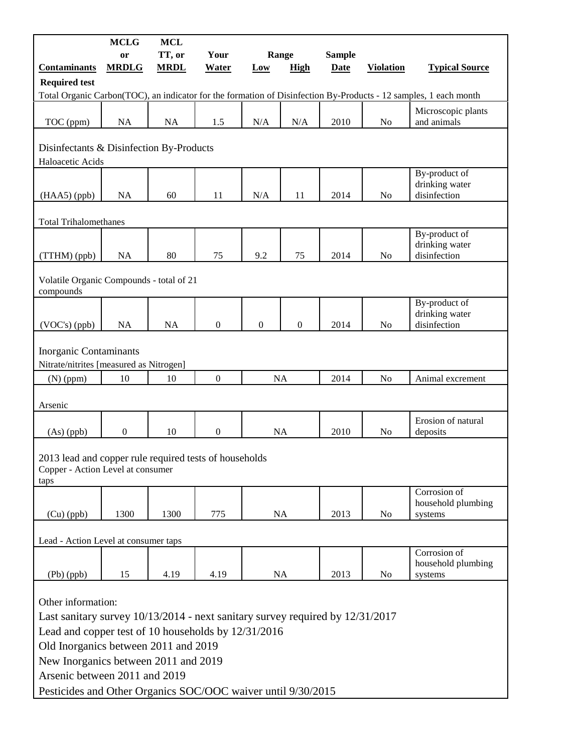|                                                                                                                                                                                                                                                                                                                                                 | <b>MCLG</b>      | <b>MCL</b>  |                  |                  |                  |               |                  |                                                                                                                  |
|-------------------------------------------------------------------------------------------------------------------------------------------------------------------------------------------------------------------------------------------------------------------------------------------------------------------------------------------------|------------------|-------------|------------------|------------------|------------------|---------------|------------------|------------------------------------------------------------------------------------------------------------------|
|                                                                                                                                                                                                                                                                                                                                                 | or               | TT, or      | Your             | Range            |                  | <b>Sample</b> |                  |                                                                                                                  |
| <b>Contaminants</b>                                                                                                                                                                                                                                                                                                                             | <b>MRDLG</b>     | <b>MRDL</b> | <b>Water</b>     | <b>Low</b>       | <b>High</b>      | <b>Date</b>   | <b>Violation</b> | <b>Typical Source</b>                                                                                            |
| <b>Required test</b>                                                                                                                                                                                                                                                                                                                            |                  |             |                  |                  |                  |               |                  | Total Organic Carbon(TOC), an indicator for the formation of Disinfection By-Products - 12 samples, 1 each month |
|                                                                                                                                                                                                                                                                                                                                                 |                  |             |                  |                  |                  |               |                  | Microscopic plants                                                                                               |
| TOC (ppm)                                                                                                                                                                                                                                                                                                                                       | NA               | NA          | 1.5              | N/A              | N/A              | 2010          | No               | and animals                                                                                                      |
| Disinfectants & Disinfection By-Products<br>Haloacetic Acids                                                                                                                                                                                                                                                                                    |                  |             |                  |                  |                  |               |                  |                                                                                                                  |
| $(HAA5)$ (ppb)                                                                                                                                                                                                                                                                                                                                  | <b>NA</b>        | 60          | 11               | N/A              | 11               | 2014          | N <sub>0</sub>   | By-product of<br>drinking water<br>disinfection                                                                  |
| <b>Total Trihalomethanes</b>                                                                                                                                                                                                                                                                                                                    |                  |             |                  |                  |                  |               |                  |                                                                                                                  |
| (TTHM) (ppb)                                                                                                                                                                                                                                                                                                                                    | NA               | 80          | 75               | 9.2              | 75               | 2014          | No               | By-product of<br>drinking water<br>disinfection                                                                  |
| Volatile Organic Compounds - total of 21<br>compounds                                                                                                                                                                                                                                                                                           |                  |             |                  |                  |                  |               |                  |                                                                                                                  |
| $(VOC's)$ (ppb)                                                                                                                                                                                                                                                                                                                                 | NA               | <b>NA</b>   | $\boldsymbol{0}$ | $\boldsymbol{0}$ | $\boldsymbol{0}$ | 2014          | N <sub>o</sub>   | By-product of<br>drinking water<br>disinfection                                                                  |
| <b>Inorganic Contaminants</b><br>Nitrate/nitrites [measured as Nitrogen]                                                                                                                                                                                                                                                                        |                  |             |                  |                  |                  |               |                  |                                                                                                                  |
| $(N)$ (ppm)                                                                                                                                                                                                                                                                                                                                     | 10               | 10          | $\overline{0}$   | <b>NA</b>        |                  | 2014          | N <sub>o</sub>   | Animal excrement                                                                                                 |
| Arsenic                                                                                                                                                                                                                                                                                                                                         |                  |             |                  |                  |                  |               |                  |                                                                                                                  |
| $(As)$ (ppb)                                                                                                                                                                                                                                                                                                                                    | $\boldsymbol{0}$ | 10          | $\boldsymbol{0}$ | <b>NA</b>        |                  | 2010          | No               | Erosion of natural<br>deposits                                                                                   |
| 2013 lead and copper rule required tests of households<br>Copper - Action Level at consumer<br>taps                                                                                                                                                                                                                                             |                  |             |                  |                  |                  |               |                  |                                                                                                                  |
| $(Cu)$ (ppb)                                                                                                                                                                                                                                                                                                                                    | 1300             | 1300        | 775              | NA               |                  | 2013          | N <sub>0</sub>   | Corrosion of<br>household plumbing<br>systems                                                                    |
| Lead - Action Level at consumer taps                                                                                                                                                                                                                                                                                                            |                  |             |                  |                  |                  |               |                  |                                                                                                                  |
| (Pb)(ppb)                                                                                                                                                                                                                                                                                                                                       | 15               | 4.19        | 4.19             | NA               |                  | 2013          | N <sub>0</sub>   | Corrosion of<br>household plumbing<br>systems                                                                    |
| Other information:<br>Last sanitary survey $10/13/2014$ - next sanitary survey required by $12/31/2017$<br>Lead and copper test of 10 households by 12/31/2016<br>Old Inorganics between 2011 and 2019<br>New Inorganics between 2011 and 2019<br>Arsenic between 2011 and 2019<br>Pesticides and Other Organics SOC/OOC waiver until 9/30/2015 |                  |             |                  |                  |                  |               |                  |                                                                                                                  |